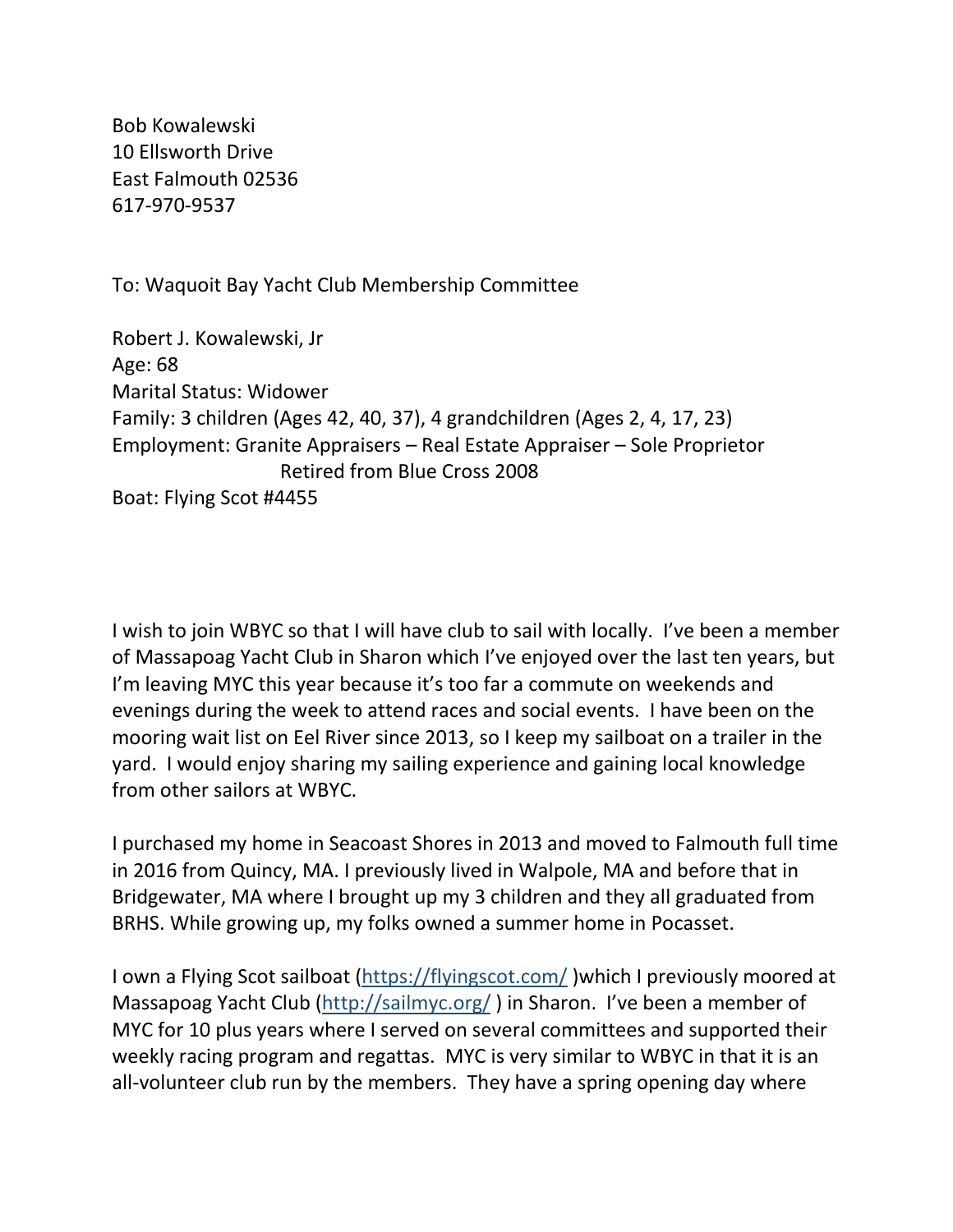Bob Kowalewski 10 Ellsworth Drive East Falmouth 02536 617-970-9537

To: Waquoit Bay Yacht Club Membership Committee

Robert J. Kowalewski, Jr Age: 68 Marital Status: Widower Family: 3 children (Ages 42, 40, 37), 4 grandchildren (Ages 2, 4, 17, 23) Employment: Granite Appraisers – Real Estate Appraiser – Sole Proprietor Retired from Blue Cross 2008 Boat: Flying Scot #4455

I wish to join WBYC so that I will have club to sail with locally. I've been a member of Massapoag Yacht Club in Sharon which I've enjoyed over the last ten years, but I'm leaving MYC this year because it's too far a commute on weekends and evenings during the week to attend races and social events. I have been on the mooring wait list on Eel River since 2013, so I keep my sailboat on a trailer in the yard. I would enjoy sharing my sailing experience and gaining local knowledge from other sailors at WBYC.

I purchased my home in Seacoast Shores in 2013 and moved to Falmouth full time in 2016 from Quincy, MA. I previously lived in Walpole, MA and before that in Bridgewater, MA where I brought up my 3 children and they all graduated from BRHS. While growing up, my folks owned a summer home in Pocasset.

I own a Flying Scot sailboat [\(https://flyingscot.com/](https://flyingscot.com/) )which I previously moored at Massapoag Yacht Club [\(http://sailmyc.org/](http://sailmyc.org/) ) in Sharon. I've been a member of MYC for 10 plus years where I served on several committees and supported their weekly racing program and regattas. MYC is very similar to WBYC in that it is an all-volunteer club run by the members. They have a spring opening day where